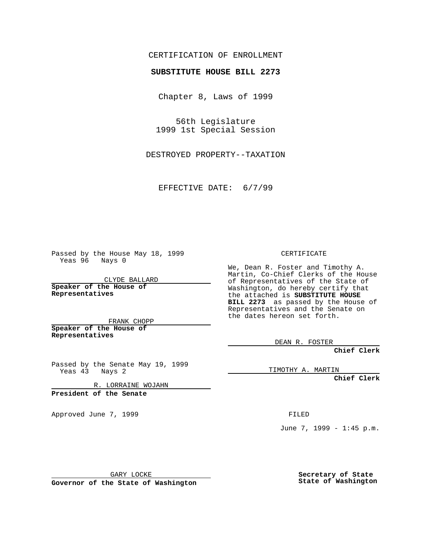## CERTIFICATION OF ENROLLMENT

## **SUBSTITUTE HOUSE BILL 2273**

Chapter 8, Laws of 1999

56th Legislature 1999 1st Special Session

DESTROYED PROPERTY--TAXATION

EFFECTIVE DATE: 6/7/99

Passed by the House May 18, 1999 Yeas 96 Nays 0

CLYDE BALLARD **Speaker of the House of Representatives**

FRANK CHOPP **Speaker of the House of Representatives**

Passed by the Senate May 19, 1999 Yeas 43 Nays 2

R. LORRAINE WOJAHN

**President of the Senate**

Approved June 7, 1999 **FILED** 

CERTIFICATE

We, Dean R. Foster and Timothy A. Martin, Co-Chief Clerks of the House of Representatives of the State of Washington, do hereby certify that the attached is **SUBSTITUTE HOUSE BILL 2273** as passed by the House of Representatives and the Senate on the dates hereon set forth.

DEAN R. FOSTER

**Chief Clerk**

TIMOTHY A. MARTIN

**Chief Clerk**

June 7, 1999 - 1:45 p.m.

GARY LOCKE

**Governor of the State of Washington**

**Secretary of State State of Washington**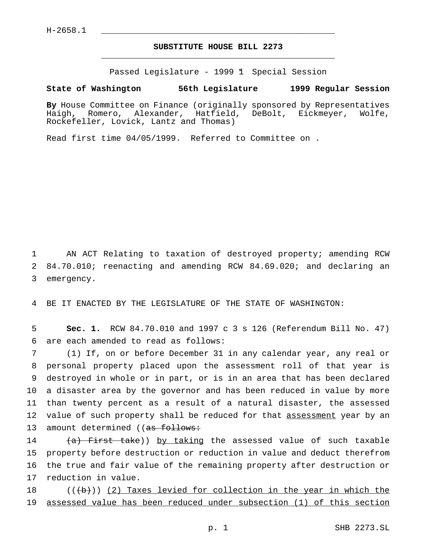## **SUBSTITUTE HOUSE BILL 2273** \_\_\_\_\_\_\_\_\_\_\_\_\_\_\_\_\_\_\_\_\_\_\_\_\_\_\_\_\_\_\_\_\_\_\_\_\_\_\_\_\_\_\_\_\_\_\_

Passed Legislature - 1999 1 Special Session

## **State of Washington 56th Legislature 1999 Regular Session**

**By** House Committee on Finance (originally sponsored by Representatives Haigh, Romero, Alexander, Hatfield, DeBolt, Eickmeyer, Wolfe, Rockefeller, Lovick, Lantz and Thomas)

Read first time 04/05/1999. Referred to Committee on .

1 AN ACT Relating to taxation of destroyed property; amending RCW 2 84.70.010; reenacting and amending RCW 84.69.020; and declaring an 3 emergency.

4 BE IT ENACTED BY THE LEGISLATURE OF THE STATE OF WASHINGTON:

5 **Sec. 1.** RCW 84.70.010 and 1997 c 3 s 126 (Referendum Bill No. 47) 6 are each amended to read as follows:

 (1) If, on or before December 31 in any calendar year, any real or personal property placed upon the assessment roll of that year is destroyed in whole or in part, or is in an area that has been declared a disaster area by the governor and has been reduced in value by more than twenty percent as a result of a natural disaster, the assessed 12 value of such property shall be reduced for that assessment year by an 13 amount determined ((as follows:

14 (a) First take)) by taking the assessed value of such taxable property before destruction or reduction in value and deduct therefrom the true and fair value of the remaining property after destruction or reduction in value.

18  $((\{b\}))(2)$  Taxes levied for collection in the year in which the 19 assessed value has been reduced under subsection (1) of this section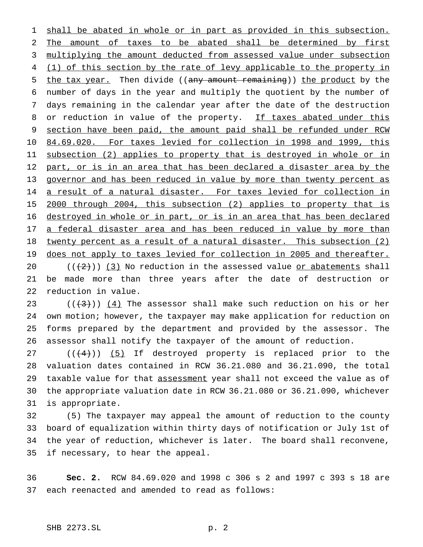shall be abated in whole or in part as provided in this subsection. The amount of taxes to be abated shall be determined by first 3 multiplying the amount deducted from assessed value under subsection 4 (1) of this section by the rate of levy applicable to the property in 5 the tax year. Then divide ((any amount remaining)) the product by the number of days in the year and multiply the quotient by the number of days remaining in the calendar year after the date of the destruction 8 or reduction in value of the property. If taxes abated under this 9 section have been paid, the amount paid shall be refunded under RCW 84.69.020. For taxes levied for collection in 1998 and 1999, this subsection (2) applies to property that is destroyed in whole or in 12 part, or is in an area that has been declared a disaster area by the 13 governor and has been reduced in value by more than twenty percent as 14 a result of a natural disaster. For taxes levied for collection in 2000 through 2004, this subsection (2) applies to property that is destroyed in whole or in part, or is in an area that has been declared 17 a federal disaster area and has been reduced in value by more than twenty percent as a result of a natural disaster. This subsection (2) 19 does not apply to taxes levied for collection in 2005 and thereafter.  $((2))$  (3) No reduction in the assessed value or abatements shall be made more than three years after the date of destruction or

reduction in value.

 $((+3))$   $(4)$  The assessor shall make such reduction on his or her own motion; however, the taxpayer may make application for reduction on forms prepared by the department and provided by the assessor. The assessor shall notify the taxpayer of the amount of reduction.

 $((+4))$   $(5)$  If destroyed property is replaced prior to the valuation dates contained in RCW 36.21.080 and 36.21.090, the total 29 taxable value for that assessment year shall not exceed the value as of the appropriate valuation date in RCW 36.21.080 or 36.21.090, whichever is appropriate.

 (5) The taxpayer may appeal the amount of reduction to the county board of equalization within thirty days of notification or July 1st of the year of reduction, whichever is later. The board shall reconvene, if necessary, to hear the appeal.

 **Sec. 2.** RCW 84.69.020 and 1998 c 306 s 2 and 1997 c 393 s 18 are each reenacted and amended to read as follows: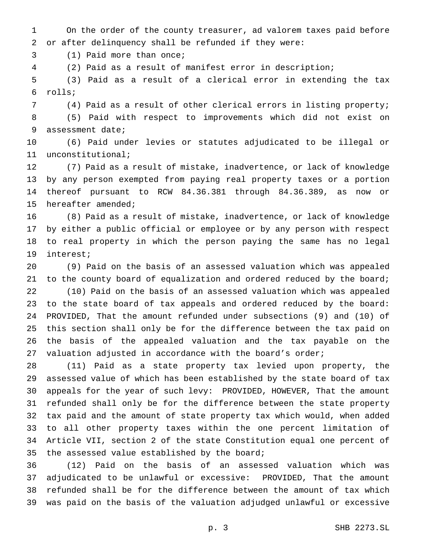On the order of the county treasurer, ad valorem taxes paid before or after delinquency shall be refunded if they were:

(1) Paid more than once;

(2) Paid as a result of manifest error in description;

 (3) Paid as a result of a clerical error in extending the tax rolls;

(4) Paid as a result of other clerical errors in listing property;

 (5) Paid with respect to improvements which did not exist on assessment date;

 (6) Paid under levies or statutes adjudicated to be illegal or unconstitutional;

 (7) Paid as a result of mistake, inadvertence, or lack of knowledge by any person exempted from paying real property taxes or a portion thereof pursuant to RCW 84.36.381 through 84.36.389, as now or hereafter amended;

 (8) Paid as a result of mistake, inadvertence, or lack of knowledge by either a public official or employee or by any person with respect to real property in which the person paying the same has no legal interest;

 (9) Paid on the basis of an assessed valuation which was appealed to the county board of equalization and ordered reduced by the board; (10) Paid on the basis of an assessed valuation which was appealed to the state board of tax appeals and ordered reduced by the board: PROVIDED, That the amount refunded under subsections (9) and (10) of this section shall only be for the difference between the tax paid on the basis of the appealed valuation and the tax payable on the valuation adjusted in accordance with the board's order;

 (11) Paid as a state property tax levied upon property, the assessed value of which has been established by the state board of tax appeals for the year of such levy: PROVIDED, HOWEVER, That the amount refunded shall only be for the difference between the state property tax paid and the amount of state property tax which would, when added to all other property taxes within the one percent limitation of Article VII, section 2 of the state Constitution equal one percent of 35 the assessed value established by the board;

 (12) Paid on the basis of an assessed valuation which was adjudicated to be unlawful or excessive: PROVIDED, That the amount refunded shall be for the difference between the amount of tax which was paid on the basis of the valuation adjudged unlawful or excessive